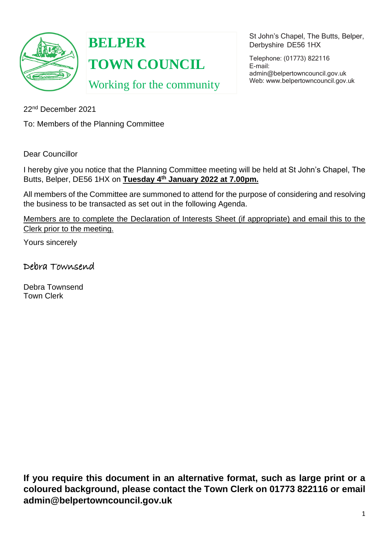

**BELPER TOWN COUNCIL**

Working for the community

St John's Chapel, The Butts, Belper, Derbyshire DE56 1HX

Telephone: (01773) 822116 E-mail: [admin@belpertowncouncil.gov.uk](mailto:admin@belpertowncouncil.gov.uk) Web: [www.belpertowncouncil.gov.uk](http://www.belpertowncouncil.gov.uk/)

22nd December 2021

To: Members of the Planning Committee

Dear Councillor

I hereby give you notice that the Planning Committee meeting will be held at St John's Chapel, The Butts, Belper, DE56 1HX on **Tuesday 4 th January 2022 at 7.00pm.**

All members of the Committee are summoned to attend for the purpose of considering and resolving the business to be transacted as set out in the following Agenda.

Members are to complete the Declaration of Interests Sheet (if appropriate) and email this to the Clerk prior to the meeting.

Yours sincerely

Debra Townsend

Debra Townsend Town Clerk

**If you require this document in an alternative format, such as large print or a coloured background, please contact the Town Clerk on 01773 822116 or email admin@belpertowncouncil.gov.uk**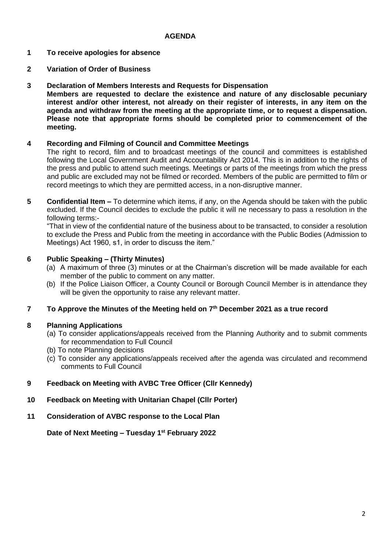## **AGENDA**

- **1 To receive apologies for absence**
- **2 Variation of Order of Business**
- **3 Declaration of Members Interests and Requests for Dispensation**

**Members are requested to declare the existence and nature of any disclosable pecuniary interest and/or other interest, not already on their register of interests, in any item on the agenda and withdraw from the meeting at the appropriate time, or to request a dispensation. Please note that appropriate forms should be completed prior to commencement of the meeting.**

#### **4 Recording and Filming of Council and Committee Meetings**

The right to record, film and to broadcast meetings of the council and committees is established following the Local Government Audit and Accountability Act 2014. This is in addition to the rights of the press and public to attend such meetings. Meetings or parts of the meetings from which the press and public are excluded may not be filmed or recorded. Members of the public are permitted to film or record meetings to which they are permitted access, in a non-disruptive manner.

**5 Confidential Item –** To determine which items, if any, on the Agenda should be taken with the public excluded. If the Council decides to exclude the public it will ne necessary to pass a resolution in the following terms:-

"That in view of the confidential nature of the business about to be transacted, to consider a resolution to exclude the Press and Public from the meeting in accordance with the Public Bodies (Admission to Meetings) Act 1960, s1, in order to discuss the item."

#### **6 Public Speaking – (Thirty Minutes)**

- (a) A maximum of three (3) minutes or at the Chairman's discretion will be made available for each member of the public to comment on any matter.
- (b) If the Police Liaison Officer, a County Council or Borough Council Member is in attendance they will be given the opportunity to raise any relevant matter.

#### **7 To Approve the Minutes of the Meeting held on 7 th December 2021 as a true record**

#### **8 Planning Applications**

- (a) To consider applications/appeals received from the Planning Authority and to submit comments for recommendation to Full Council
- (b) To note Planning decisions
- (c) To consider any applications/appeals received after the agenda was circulated and recommend comments to Full Council
- **9 Feedback on Meeting with AVBC Tree Officer (Cllr Kennedy)**
- **10 Feedback on Meeting with Unitarian Chapel (Cllr Porter)**
- **11 Consideration of AVBC response to the Local Plan**

**Date of Next Meeting – Tuesday 1 st February 2022**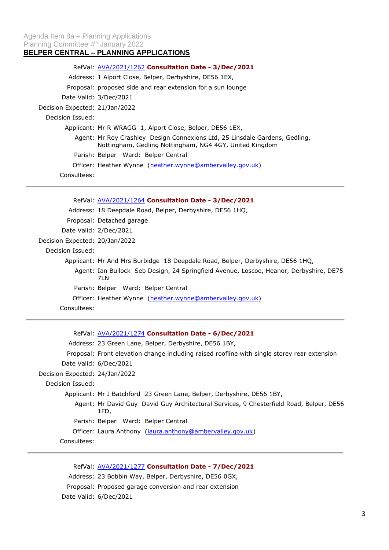# **BELPER CENTRAL – PLANNING APPLICATIONS**

|                                | RefVal: AVA/2021/1262 Consultation Date - 3/Dec/2021                                                                                   |
|--------------------------------|----------------------------------------------------------------------------------------------------------------------------------------|
|                                | Address: 1 Alport Close, Belper, Derbyshire, DE56 1EX,                                                                                 |
|                                | Proposal: proposed side and rear extension for a sun lounge                                                                            |
|                                | Date Valid: 3/Dec/2021                                                                                                                 |
| Decision Expected: 21/Jan/2022 |                                                                                                                                        |
| Decision Issued:               |                                                                                                                                        |
|                                | Applicant: Mr R WRAGG 1, Alport Close, Belper, DE56 1EX,                                                                               |
|                                | Agent: Mr Roy Crashley Design Connexions Ltd, 25 Linsdale Gardens, Gedling,<br>Nottingham, Gedling Nottingham, NG4 4GY, United Kingdom |
|                                | Parish: Belper Ward: Belper Central                                                                                                    |
|                                | Officer: Heather Wynne (heather.wynne@ambervalley.gov.uk)                                                                              |
| Consultees:                    |                                                                                                                                        |

|                                | RefVal: AVA/2021/1264 Consultation Date - 3/Dec/2021                                          |
|--------------------------------|-----------------------------------------------------------------------------------------------|
|                                | Address: 18 Deepdale Road, Belper, Derbyshire, DE56 1HQ,                                      |
|                                | Proposal: Detached garage                                                                     |
|                                | Date Valid: 2/Dec/2021                                                                        |
| Decision Expected: 20/Jan/2022 |                                                                                               |
| Decision Issued:               |                                                                                               |
|                                | Applicant: Mr And Mrs Burbidge 18 Deepdale Road, Belper, Derbyshire, DE56 1HQ,                |
|                                | Agent: Ian Bullock Seb Design, 24 Springfield Avenue, Loscoe, Heanor, Derbyshire, DE75<br>7LN |
|                                | Parish: Belper Ward: Belper Central                                                           |
|                                | Officer: Heather Wynne (heather.wynne@ambervalley.gov.uk)                                     |
| Consultees:                    |                                                                                               |

RefVal: [AVA/2021/1274](https://www.ambervalley.gov.uk/planapps?refval=AVA-2021-1274) **Consultation Date - 6/Dec/2021** Address: 23 Green Lane, Belper, Derbyshire, DE56 1BY, Proposal: Front elevation change including raised roofline with single storey rear extension Date Valid: 6/Dec/2021 Decision Expected: 24/Jan/2022 Decision Issued: Applicant: Mr J Batchford 23 Green Lane, Belper, Derbyshire, DE56 1BY, Agent: Mr David Guy David Guy Architectural Services, 9 Chesterfield Road, Belper, DE56 1FD, Parish: Belper Ward: Belper Central Officer: Laura Anthony [\(laura.anthony@ambervalley.gov.uk\)](mailto:laura.anthony@ambervalley.gov.uk) Consultees:

RefVal: [AVA/2021/1277](https://www.ambervalley.gov.uk/planapps?refval=AVA-2021-1277) **Consultation Date - 7/Dec/2021** Address: 23 Bobbin Way, Belper, Derbyshire, DE56 0GX, Proposal: Proposed garage conversion and rear extension Date Valid: 6/Dec/2021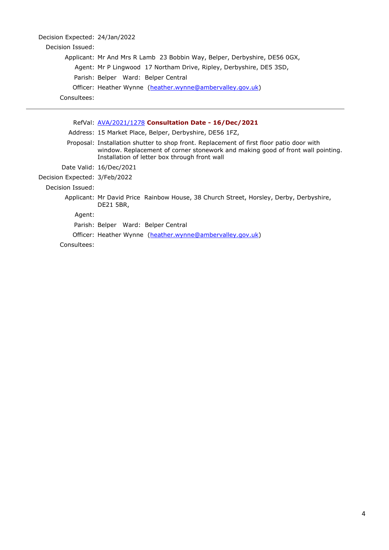| Decision Expected: 24/Jan/2022 |                                                                                                                                                                                                                              |
|--------------------------------|------------------------------------------------------------------------------------------------------------------------------------------------------------------------------------------------------------------------------|
| Decision Issued:               |                                                                                                                                                                                                                              |
|                                | Applicant: Mr And Mrs R Lamb 23 Bobbin Way, Belper, Derbyshire, DE56 0GX,                                                                                                                                                    |
|                                | Agent: Mr P Lingwood 17 Northam Drive, Ripley, Derbyshire, DE5 3SD,                                                                                                                                                          |
|                                | Parish: Belper Ward: Belper Central                                                                                                                                                                                          |
|                                | Officer: Heather Wynne (heather.wynne@ambervalley.gov.uk)                                                                                                                                                                    |
| Consultees:                    |                                                                                                                                                                                                                              |
|                                |                                                                                                                                                                                                                              |
|                                | RefVal: AVA/2021/1278 Consultation Date - 16/Dec/2021                                                                                                                                                                        |
|                                | Address: 15 Market Place, Belper, Derbyshire, DE56 1FZ,                                                                                                                                                                      |
|                                | Proposal: Installation shutter to shop front. Replacement of first floor patio door with<br>window. Replacement of corner stonework and making good of front wall pointing.<br>Installation of letter box through front wall |
|                                |                                                                                                                                                                                                                              |

Date Valid: 16/Dec/2021 Decision Expected: 3/Feb/2022

Decision Issued:

Applicant: Mr David Price Rainbow House, 38 Church Street, Horsley, Derby, Derbyshire, DE21 5BR,

Agent:

Parish: Belper Ward: Belper Central

Officer: Heather Wynne [\(heather.wynne@ambervalley.gov.uk\)](mailto:heather.wynne@ambervalley.gov.uk)

Consultees: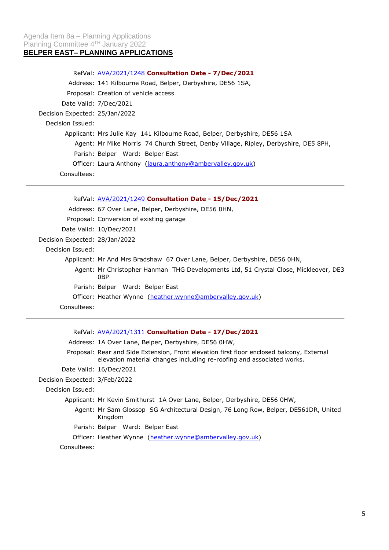## Agenda Item 8a – Planning Applications Planning Committee 4<sup>TH</sup> January 2022 **BELPER EAST– PLANNING APPLICATIONS**

|                                | RefVal: <b>AVA/2021/1248 Consultation Date - 7/Dec/2021</b>                         |
|--------------------------------|-------------------------------------------------------------------------------------|
|                                | Address: 141 Kilbourne Road, Belper, Derbyshire, DE56 1SA,                          |
|                                | Proposal: Creation of vehicle access                                                |
|                                | Date Valid: 7/Dec/2021                                                              |
| Decision Expected: 25/Jan/2022 |                                                                                     |
| Decision Issued:               |                                                                                     |
|                                | Applicant: Mrs Julie Kay 141 Kilbourne Road, Belper, Derbyshire, DE56 1SA           |
|                                | Agent: Mr Mike Morris 74 Church Street, Denby Village, Ripley, Derbyshire, DE5 8PH, |
|                                | Parish: Belper Ward: Belper East                                                    |
|                                | Officer: Laura Anthony (laura.anthony@ambervalley.gov.uk)                           |
| Consultees:                    |                                                                                     |

|                                | RefVal: AVA/2021/1249 Consultation Date - 15/Dec/2021                                       |
|--------------------------------|---------------------------------------------------------------------------------------------|
|                                | Address: 67 Over Lane, Belper, Derbyshire, DE56 0HN,                                        |
|                                | Proposal: Conversion of existing garage                                                     |
|                                | Date Valid: 10/Dec/2021                                                                     |
| Decision Expected: 28/Jan/2022 |                                                                                             |
| Decision Issued:               |                                                                                             |
|                                | Applicant: Mr And Mrs Bradshaw 67 Over Lane, Belper, Derbyshire, DE56 0HN,                  |
|                                | Agent: Mr Christopher Hanman THG Developments Ltd, 51 Crystal Close, Mickleover, DE3<br>0BP |
|                                | Parish: Belper Ward: Belper East                                                            |
|                                | Officer: Heather Wynne (heather.wynne@ambervalley.gov.uk)                                   |
| Consultees:                    |                                                                                             |

|                               | RefVal. <b>AVA/2021/1311 Consultation Date - 17/Dec/2021</b>                                                                                                       |
|-------------------------------|--------------------------------------------------------------------------------------------------------------------------------------------------------------------|
|                               | Address: 1A Over Lane, Belper, Derbyshire, DE56 0HW,                                                                                                               |
|                               | Proposal: Rear and Side Extension, Front elevation first floor enclosed balcony, External<br>elevation material changes including re-roofing and associated works. |
|                               | Date Valid: 16/Dec/2021                                                                                                                                            |
| Decision Expected: 3/Feb/2022 |                                                                                                                                                                    |
| Decision Issued:              |                                                                                                                                                                    |
|                               | Applicant: Mr Kevin Smithurst 1A Over Lane, Belper, Derbyshire, DE56 0HW,                                                                                          |
|                               | Agent: Mr Sam Glossop SG Architectural Design, 76 Long Row, Belper, DE561DR, United<br>Kingdom                                                                     |
|                               | Parish: Belper Ward: Belper East                                                                                                                                   |
|                               | Officer: Heather Wynne (heather.wynne@ambervalley.gov.uk)                                                                                                          |
| Consultees:                   |                                                                                                                                                                    |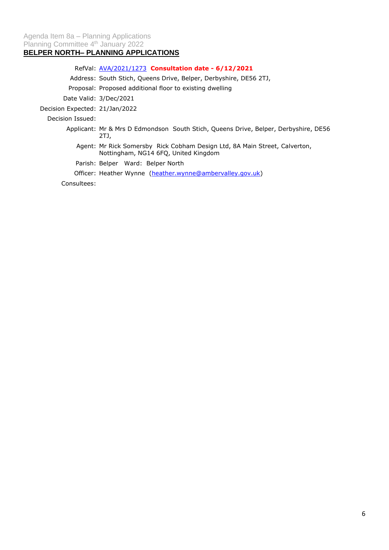# **BELPER NORTH– PLANNING APPLICATIONS**

RefVal: [AVA/2021/1273](https://www.ambervalley.gov.uk/planapps?refval=AVA-2021-1273) **Consultation date - 6/12/2021**

Address: South Stich, Queens Drive, Belper, Derbyshire, DE56 2TJ,

Proposal: Proposed additional floor to existing dwelling

Date Valid: 3/Dec/2021

Decision Expected: 21/Jan/2022

Decision Issued:

- Applicant: Mr & Mrs D Edmondson South Stich, Queens Drive, Belper, Derbyshire, DE56 2TJ,
	- Agent: Mr Rick Somersby Rick Cobham Design Ltd, 8A Main Street, Calverton, Nottingham, NG14 6FQ, United Kingdom

Parish: Belper Ward: Belper North

Officer: Heather Wynne [\(heather.wynne@ambervalley.gov.uk\)](mailto:heather.wynne@ambervalley.gov.uk)

Consultees: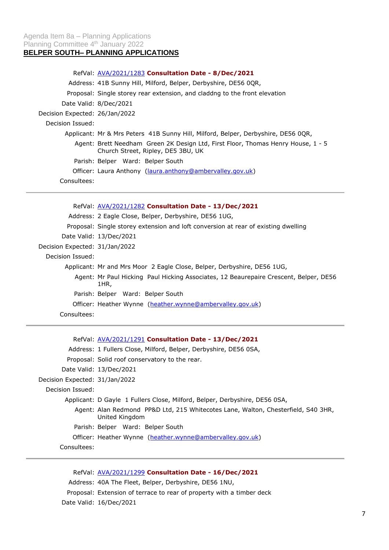# RefVal: [AVA/2021/1283](https://www.ambervalley.gov.uk/planapps?refval=AVA-2021-1283) **Consultation Date - 8/Dec/2021** Address: 41B Sunny Hill, Milford, Belper, Derbyshire, DE56 0QR, Proposal: Single storey rear extension, and claddng to the front elevation Date Valid: 8/Dec/2021 Decision Expected: 26/Jan/2022 Decision Issued: Applicant: Mr & Mrs Peters 41B Sunny Hill, Milford, Belper, Derbyshire, DE56 0QR, Agent: Brett Needham Green 2K Design Ltd, First Floor, Thomas Henry House, 1 - 5 Church Street, Ripley, DE5 3BU, UK Parish: Belper Ward: Belper South Officer: Laura Anthony [\(laura.anthony@ambervalley.gov.uk\)](mailto:laura.anthony@ambervalley.gov.uk) Consultees:

RefVal: [AVA/2021/1282](https://www.ambervalley.gov.uk/planapps?refval=AVA-2021-1282) **Consultation Date - 13/Dec/2021** Address: 2 Eagle Close, Belper, Derbyshire, DE56 1UG, Proposal: Single storey extension and loft conversion at rear of existing dwelling Date Valid: 13/Dec/2021 Decision Expected: 31/Jan/2022 Decision Issued: Applicant: Mr and Mrs Moor 2 Eagle Close, Belper, Derbyshire, DE56 1UG, Agent: Mr Paul Hicking Paul Hicking Associates, 12 Beaurepaire Crescent, Belper, DE56 1HR, Parish: Belper Ward: Belper South Officer: Heather Wynne [\(heather.wynne@ambervalley.gov.uk\)](mailto:heather.wynne@ambervalley.gov.uk) Consultees:

|                                | RefVal: AVA/2021/1291 Consultation Date - 13/Dec/2021                                               |
|--------------------------------|-----------------------------------------------------------------------------------------------------|
|                                | Address: 1 Fullers Close, Milford, Belper, Derbyshire, DE56 0SA,                                    |
|                                | Proposal: Solid roof conservatory to the rear.                                                      |
|                                | Date Valid: 13/Dec/2021                                                                             |
| Decision Expected: 31/Jan/2022 |                                                                                                     |
| Decision Issued:               |                                                                                                     |
|                                | Applicant: D Gayle 1 Fullers Close, Milford, Belper, Derbyshire, DE56 0SA,                          |
|                                | Agent: Alan Redmond PP&D Ltd, 215 Whitecotes Lane, Walton, Chesterfield, S40 3HR,<br>United Kingdom |
|                                | Parish: Belper Ward: Belper South                                                                   |
|                                | Officer: Heather Wynne (heather.wynne@ambervalley.gov.uk)                                           |
| Consultees:                    |                                                                                                     |

RefVal: [AVA/2021/1299](https://www.ambervalley.gov.uk/planapps?refval=AVA-2021-1299) **Consultation Date - 16/Dec/2021** Address: 40A The Fleet, Belper, Derbyshire, DE56 1NU, Proposal: Extension of terrace to rear of property with a timber deck Date Valid: 16/Dec/2021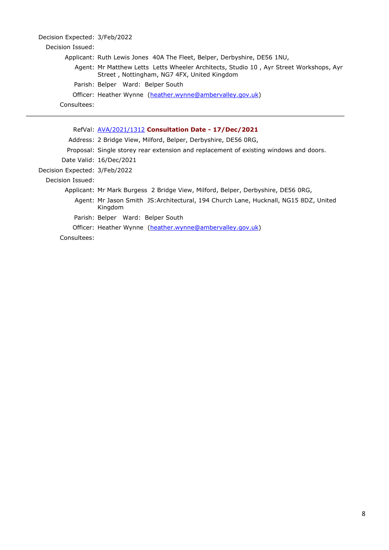| Decision Expected: 3/Feb/2022 |                                                                                                                                       |
|-------------------------------|---------------------------------------------------------------------------------------------------------------------------------------|
| Decision Issued:              |                                                                                                                                       |
|                               | Applicant: Ruth Lewis Jones 40A The Fleet, Belper, Derbyshire, DE56 1NU,                                                              |
|                               | Agent: Mr Matthew Letts Letts Wheeler Architects, Studio 10, Ayr Street Workshops, Ayr<br>Street, Nottingham, NG7 4FX, United Kingdom |
|                               | Parish: Belper Ward: Belper South                                                                                                     |
|                               | Officer: Heather Wynne (heather.wynne@ambervalley.gov.uk)                                                                             |
| Consultees:                   |                                                                                                                                       |

|                               | RefVal: AVA/2021/1312 Consultation Date - 17/Dec/2021                                           |
|-------------------------------|-------------------------------------------------------------------------------------------------|
|                               | Address: 2 Bridge View, Milford, Belper, Derbyshire, DE56 0RG,                                  |
|                               | Proposal: Single storey rear extension and replacement of existing windows and doors.           |
|                               | Date Valid: 16/Dec/2021                                                                         |
| Decision Expected: 3/Feb/2022 |                                                                                                 |
| Decision Issued:              |                                                                                                 |
|                               | Applicant: Mr Mark Burgess 2 Bridge View, Milford, Belper, Derbyshire, DE56 ORG,                |
|                               | Agent: Mr Jason Smith JS: Architectural, 194 Church Lane, Hucknall, NG15 8DZ, United<br>Kingdom |
|                               | Parish: Belper Ward: Belper South                                                               |
|                               | Officer: Heather Wynne (heather.wynne@ambervalley.gov.uk)                                       |
| Consultees:                   |                                                                                                 |
|                               |                                                                                                 |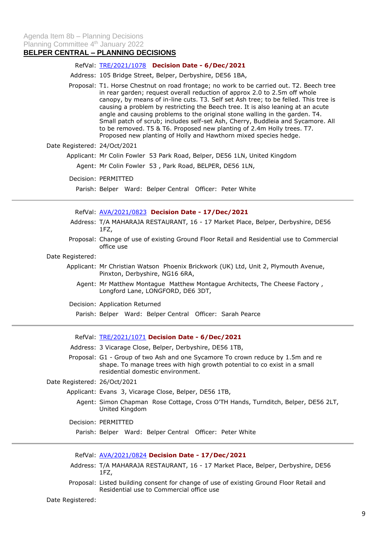## **BELPER CENTRAL – PLANNING DECISIONS**

### RefVal: [TRE/2021/1078](https://www.ambervalley.gov.uk/planapps?refval=TRE-2021-1078) **Decision Date - 6/Dec/2021**

Address: 105 Bridge Street, Belper, Derbyshire, DE56 1BA,

Proposal: T1. Horse Chestnut on road frontage; no work to be carried out. T2. Beech tree in rear garden; request overall reduction of approx 2.0 to 2.5m off whole canopy, by means of in-line cuts. T3. Self set Ash tree; to be felled. This tree is causing a problem by restricting the Beech tree. It is also leaning at an acute angle and causing problems to the original stone walling in the garden. T4. Small patch of scrub; includes self-set Ash, Cherry, Buddleia and Sycamore. All to be removed. T5 & T6. Proposed new planting of 2.4m Holly trees. T7. Proposed new planting of Holly and Hawthorn mixed species hedge.

### Date Registered: 24/Oct/2021

Applicant: Mr Colin Fowler 53 Park Road, Belper, DE56 1LN, United Kingdom

- Agent: Mr Colin Fowler 53 , Park Road, BELPER, DE56 1LN,
- Decision: PERMITTED

Parish: Belper Ward: Belper Central Officer: Peter White

RefVal: [AVA/2021/0823](https://www.ambervalley.gov.uk/planapps?refval=AVA-2021-0823) **Decision Date - 17/Dec/2021**

- Address: T/A MAHARAJA RESTAURANT, 16 17 Market Place, Belper, Derbyshire, DE56 1FZ,
- Proposal: Change of use of existing Ground Floor Retail and Residential use to Commercial office use

### Date Registered:

- Applicant: Mr Christian Watson Phoenix Brickwork (UK) Ltd, Unit 2, Plymouth Avenue, Pinxton, Derbyshire, NG16 6RA,
	- Agent: Mr Matthew Montague Matthew Montague Architects, The Cheese Factory , Longford Lane, LONGFORD, DE6 3DT,

Decision: Application Returned

Parish: Belper Ward: Belper Central Officer: Sarah Pearce

#### RefVal: [TRE/2021/1071](https://www.ambervalley.gov.uk/planapps?refval=TRE-2021-1071) **Decision Date - 6/Dec/2021**

- Address: 3 Vicarage Close, Belper, Derbyshire, DE56 1TB,
- Proposal: G1 Group of two Ash and one Sycamore To crown reduce by 1.5m and re shape. To manage trees with high growth potential to co exist in a small residential domestic environment.

### Date Registered: 26/Oct/2021

- Applicant: Evans 3, Vicarage Close, Belper, DE56 1TB,
	- Agent: Simon Chapman Rose Cottage, Cross O'TH Hands, Turnditch, Belper, DE56 2LT, United Kingdom
- Decision: PERMITTED

Parish: Belper Ward: Belper Central Officer: Peter White

### RefVal: [AVA/2021/0824](https://www.ambervalley.gov.uk/planapps?refval=AVA-2021-0824) **Decision Date - 17/Dec/2021**

- Address: T/A MAHARAJA RESTAURANT, 16 17 Market Place, Belper, Derbyshire, DE56 1FZ,
- Proposal: Listed building consent for change of use of existing Ground Floor Retail and Residential use to Commercial office use

Date Registered: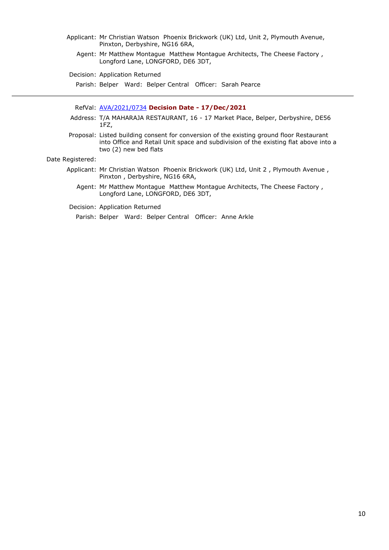- Applicant: Mr Christian Watson Phoenix Brickwork (UK) Ltd, Unit 2, Plymouth Avenue, Pinxton, Derbyshire, NG16 6RA,
	- Agent: Mr Matthew Montague Matthew Montague Architects, The Cheese Factory , Longford Lane, LONGFORD, DE6 3DT,

Decision: Application Returned

Parish: Belper Ward: Belper Central Officer: Sarah Pearce

- RefVal: [AVA/2021/0734](https://www.ambervalley.gov.uk/planapps?refval=AVA-2021-0734) **Decision Date - 17/Dec/2021**
- Address: T/A MAHARAJA RESTAURANT, 16 17 Market Place, Belper, Derbyshire, DE56 1FZ,
- Proposal: Listed building consent for conversion of the existing ground floor Restaurant into Office and Retail Unit space and subdivision of the existing flat above into a two (2) new bed flats

Date Registered:

- Applicant: Mr Christian Watson Phoenix Brickwork (UK) Ltd, Unit 2 , Plymouth Avenue , Pinxton , Derbyshire, NG16 6RA,
	- Agent: Mr Matthew Montague Matthew Montague Architects, The Cheese Factory , Longford Lane, LONGFORD, DE6 3DT,

Decision: Application Returned

Parish: Belper Ward: Belper Central Officer: Anne Arkle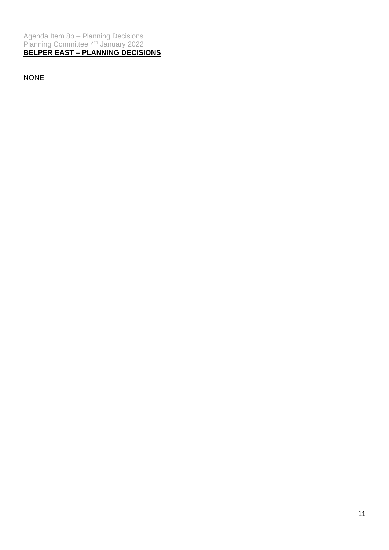Agenda Item 8b – Planning Decisions Planning Committee 4<sup>th</sup> January 2022 **BELPER EAST – PLANNING DECISIONS**

NONE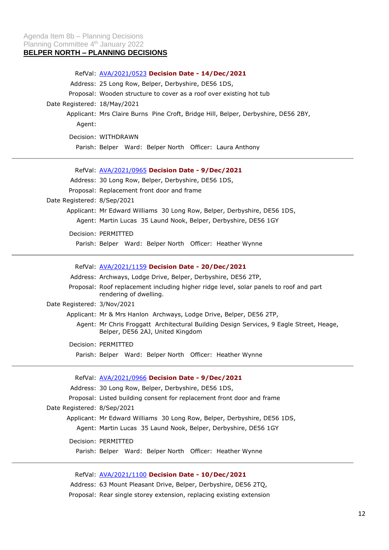# RefVal: [AVA/2021/0523](https://www.ambervalley.gov.uk/planapps?refval=AVA-2021-0523) **Decision Date - 14/Dec/2021** Address: 25 Long Row, Belper, Derbyshire, DE56 1DS, Proposal: Wooden structure to cover as a roof over existing hot tub Date Registered: 18/May/2021 Applicant: Mrs Claire Burns Pine Croft, Bridge Hill, Belper, Derbyshire, DE56 2BY, Agent: Decision: WITHDRAWN Parish: Belper Ward: Belper North Officer: Laura Anthony

RefVal: [AVA/2021/0965](https://www.ambervalley.gov.uk/planapps?refval=AVA-2021-0965) **Decision Date - 9/Dec/2021** Address: 30 Long Row, Belper, Derbyshire, DE56 1DS, Proposal: Replacement front door and frame Date Registered: 8/Sep/2021 Applicant: Mr Edward Williams 30 Long Row, Belper, Derbyshire, DE56 1DS, Agent: Martin Lucas 35 Laund Nook, Belper, Derbyshire, DE56 1GY Decision: PERMITTED

Parish: Belper Ward: Belper North Officer: Heather Wynne

RefVal: [AVA/2021/1159](https://www.ambervalley.gov.uk/planapps?refval=AVA-2021-1159) **Decision Date - 20/Dec/2021**

Address: Archways, Lodge Drive, Belper, Derbyshire, DE56 2TP,

Proposal: Roof replacement including higher ridge level, solar panels to roof and part rendering of dwelling.

Date Registered: 3/Nov/2021

Applicant: Mr & Mrs Hanlon Archways, Lodge Drive, Belper, DE56 2TP,

Agent: Mr Chris Froggatt Architectural Building Design Services, 9 Eagle Street, Heage, Belper, DE56 2AJ, United Kingdom

Decision: PERMITTED

Parish: Belper Ward: Belper North Officer: Heather Wynne

RefVal: [AVA/2021/0966](https://www.ambervalley.gov.uk/planapps?refval=AVA-2021-0966) **Decision Date - 9/Dec/2021**

Address: 30 Long Row, Belper, Derbyshire, DE56 1DS,

Proposal: Listed building consent for replacement front door and frame

Date Registered: 8/Sep/2021

Applicant: Mr Edward Williams 30 Long Row, Belper, Derbyshire, DE56 1DS,

Agent: Martin Lucas 35 Laund Nook, Belper, Derbyshire, DE56 1GY

Decision: PERMITTED

Parish: Belper Ward: Belper North Officer: Heather Wynne

RefVal: [AVA/2021/1100](https://www.ambervalley.gov.uk/planapps?refval=AVA-2021-1100) **Decision Date - 10/Dec/2021**

Address: 63 Mount Pleasant Drive, Belper, Derbyshire, DE56 2TQ, Proposal: Rear single storey extension, replacing existing extension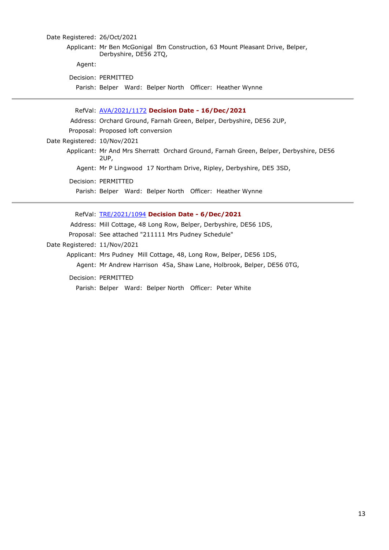# Date Registered: 26/Oct/2021 Applicant: Mr Ben McGonigal Bm Construction, 63 Mount Pleasant Drive, Belper, Derbyshire, DE56 2TQ, Agent: Decision: PERMITTED

Parish: Belper Ward: Belper North Officer: Heather Wynne

RefVal: [AVA/2021/1172](https://www.ambervalley.gov.uk/planapps?refval=AVA-2021-1172) **Decision Date - 16/Dec/2021** Address: Orchard Ground, Farnah Green, Belper, Derbyshire, DE56 2UP, Proposal: Proposed loft conversion Date Registered: 10/Nov/2021 Applicant: Mr And Mrs Sherratt Orchard Ground, Farnah Green, Belper, Derbyshire, DE56 2UP, Agent: Mr P Lingwood 17 Northam Drive, Ripley, Derbyshire, DE5 3SD, Decision: PERMITTED Parish: Belper Ward: Belper North Officer: Heather Wynne

RefVal: [TRE/2021/1094](https://www.ambervalley.gov.uk/planapps?refval=TRE-2021-1094) **Decision Date - 6/Dec/2021** Address: Mill Cottage, 48 Long Row, Belper, Derbyshire, DE56 1DS, Proposal: See attached "211111 Mrs Pudney Schedule" Date Registered: 11/Nov/2021 Applicant: Mrs Pudney Mill Cottage, 48, Long Row, Belper, DE56 1DS, Agent: Mr Andrew Harrison 45a, Shaw Lane, Holbrook, Belper, DE56 0TG, Decision: PERMITTED

Parish: Belper Ward: Belper North Officer: Peter White